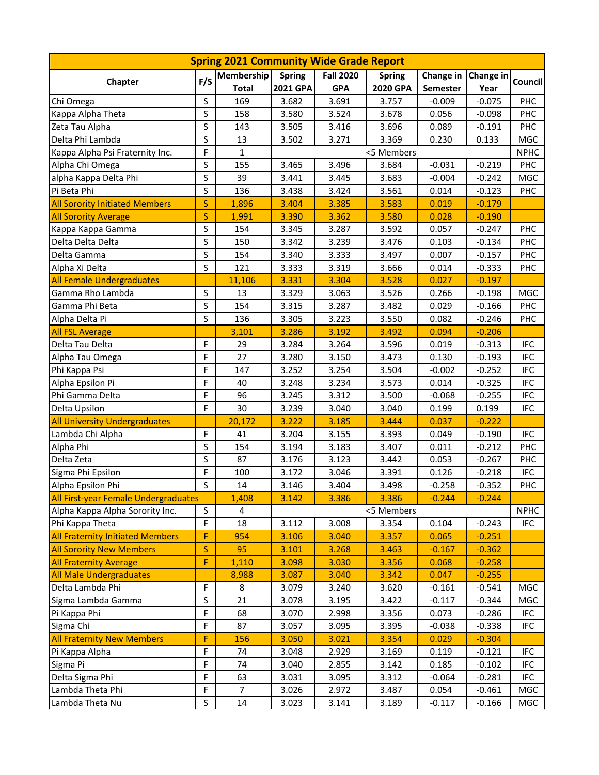| <b>Spring 2021 Community Wide Grade Report</b> |              |                   |                 |                  |               |           |             |                |  |  |  |
|------------------------------------------------|--------------|-------------------|-----------------|------------------|---------------|-----------|-------------|----------------|--|--|--|
| Chapter                                        | F/S          | <b>Membership</b> | <b>Spring</b>   | <b>Fall 2020</b> | <b>Spring</b> | Change in | Change in   | <b>Council</b> |  |  |  |
|                                                |              | <b>Total</b>      | <b>2021 GPA</b> | <b>GPA</b>       | 2020 GPA      | Semester  | Year        |                |  |  |  |
| Chi Omega                                      | S            | 169               | 3.682           | 3.691            | 3.757         | $-0.009$  | $-0.075$    | <b>PHC</b>     |  |  |  |
| Kappa Alpha Theta                              | S            | 158               | 3.580           | 3.524            | 3.678         | 0.056     | $-0.098$    | <b>PHC</b>     |  |  |  |
| Zeta Tau Alpha                                 | S            | 143               | 3.505           | 3.416            | 3.696         | 0.089     | $-0.191$    | <b>PHC</b>     |  |  |  |
| Delta Phi Lambda                               | S            | 13                | 3.502           | 3.271            | 3.369         | 0.230     | 0.133       | MGC            |  |  |  |
| Kappa Alpha Psi Fraternity Inc.                | F            | $\mathbf{1}$      |                 |                  | <5 Members    |           |             | <b>NPHC</b>    |  |  |  |
| Alpha Chi Omega                                | S            | 155               | 3.465           | 3.496            | 3.684         | $-0.031$  | $-0.219$    | <b>PHC</b>     |  |  |  |
| alpha Kappa Delta Phi                          | S            | 39                | 3.441           | 3.445            | 3.683         | $-0.004$  | $-0.242$    | MGC            |  |  |  |
| Pi Beta Phi                                    | $\sf S$      | 136               | 3.438           | 3.424            | 3.561         | 0.014     | $-0.123$    | <b>PHC</b>     |  |  |  |
| <b>All Sorority Initiated Members</b>          | S            | 1,896             | 3.404           | 3.385            | 3.583         | 0.019     | $-0.179$    |                |  |  |  |
| <b>All Sorority Average</b>                    | S            | 1,991             | 3.390           | 3.362            | 3.580         | 0.028     | $-0.190$    |                |  |  |  |
| Kappa Kappa Gamma                              | $\sf S$      | 154               | 3.345           | 3.287            | 3.592         | 0.057     | $-0.247$    | <b>PHC</b>     |  |  |  |
| Delta Delta Delta                              | S            | 150               | 3.342           | 3.239            | 3.476         | 0.103     | $-0.134$    | <b>PHC</b>     |  |  |  |
| Delta Gamma                                    | S            | 154               | 3.340           | 3.333            | 3.497         | 0.007     | $-0.157$    | PHC            |  |  |  |
| Alpha Xi Delta                                 | S            | 121               | 3.333           | 3.319            | 3.666         | 0.014     | $-0.333$    | PHC            |  |  |  |
| <b>All Female Undergraduates</b>               |              | 11,106            | 3.331           | 3.304            | 3.528         | 0.027     | $-0.197$    |                |  |  |  |
| Gamma Rho Lambda                               | S            | 13                | 3.329           | 3.063            | 3.526         | 0.266     | $-0.198$    | MGC            |  |  |  |
| Gamma Phi Beta                                 | S            | 154               | 3.315           | 3.287            | 3.482         | 0.029     | $-0.166$    | <b>PHC</b>     |  |  |  |
| Alpha Delta Pi                                 | S            | 136               | 3.305           | 3.223            | 3.550         | 0.082     | $-0.246$    | PHC            |  |  |  |
| <b>All FSL Average</b>                         |              | 3,101             | 3.286           | 3.192            | 3.492         | 0.094     | $-0.206$    |                |  |  |  |
| Delta Tau Delta                                | F            | 29                | 3.284           | 3.264            | 3.596         | 0.019     | $-0.313$    | <b>IFC</b>     |  |  |  |
| Alpha Tau Omega                                | F            | 27                | 3.280           | 3.150            | 3.473         | 0.130     | $-0.193$    | <b>IFC</b>     |  |  |  |
| Phi Kappa Psi                                  | F            | 147               | 3.252           | 3.254            | 3.504         | $-0.002$  | $-0.252$    | <b>IFC</b>     |  |  |  |
| Alpha Epsilon Pi                               | F            | 40                | 3.248           | 3.234            | 3.573         | 0.014     | $-0.325$    | <b>IFC</b>     |  |  |  |
| Phi Gamma Delta                                | F            | 96                | 3.245           | 3.312            | 3.500         | $-0.068$  | $-0.255$    | <b>IFC</b>     |  |  |  |
| Delta Upsilon                                  | F            | 30                | 3.239           | 3.040            | 3.040         | 0.199     | 0.199       | <b>IFC</b>     |  |  |  |
| <b>All University Undergraduates</b>           |              | 20,172            | 3.222           | 3.185            | 3.444         | 0.037     | $-0.222$    |                |  |  |  |
| Lambda Chi Alpha                               | F            | 41                | 3.204           | 3.155            | 3.393         | 0.049     | $-0.190$    | <b>IFC</b>     |  |  |  |
| Alpha Phi                                      | S            | 154               | 3.194           | 3.183            | 3.407         | 0.011     | $-0.212$    | <b>PHC</b>     |  |  |  |
| Delta Zeta                                     | S            | 87                | 3.176           | 3.123            | 3.442         | 0.053     | $-0.267$    | <b>PHC</b>     |  |  |  |
| Sigma Phi Epsilon                              | F            | 100               | 3.172           | 3.046            | 3.391         | 0.126     | $-0.218$    | <b>IFC</b>     |  |  |  |
| Alpha Epsilon Phi                              | $\sf S$      | 14                | 3.146           | 3.404            | 3.498         | $-0.258$  | $-0.352$    | <b>PHC</b>     |  |  |  |
| All First-year Female Undergraduates           |              | 1,408             | 3.142           | 3.386            | 3.386         | $-0.244$  | $-0.244$    |                |  |  |  |
| Alpha Kappa Alpha Sorority Inc.                | $\sf S$      | 4                 | <5 Members      |                  |               |           | <b>NPHC</b> |                |  |  |  |
| Phi Kappa Theta                                | F            | 18                | 3.112           | 3.008            | 3.354         | 0.104     | $-0.243$    | IFC            |  |  |  |
| <b>All Fraternity Initiated Members</b>        | F            | 954               | 3.106           | 3.040            | 3.357         | 0.065     | $-0.251$    |                |  |  |  |
| <b>All Sorority New Members</b>                | $\mathsf{S}$ | 95                | 3.101           | 3.268            | 3.463         | $-0.167$  | $-0.362$    |                |  |  |  |
| <b>All Fraternity Average</b>                  | F            | 1,110             | 3.098           | 3.030            | 3.356         | 0.068     | $-0.258$    |                |  |  |  |
| <b>All Male Undergraduates</b>                 |              | 8,988             | 3.087           | 3.040            | 3.342         | 0.047     | $-0.255$    |                |  |  |  |
| Delta Lambda Phi                               | F            | 8                 | 3.079           | 3.240            | 3.620         | $-0.161$  | $-0.541$    | MGC            |  |  |  |
| Sigma Lambda Gamma                             | S            | 21                | 3.078           | 3.195            | 3.422         | $-0.117$  | $-0.344$    | MGC            |  |  |  |
| Pi Kappa Phi                                   | F            | 68                | 3.070           | 2.998            | 3.356         | 0.073     | $-0.286$    | <b>IFC</b>     |  |  |  |
| Sigma Chi                                      | F            | 87                | 3.057           | 3.095            | 3.395         | $-0.038$  | $-0.338$    | <b>IFC</b>     |  |  |  |
| <b>All Fraternity New Members</b>              | F            | 156               | 3.050           | 3.021            | 3.354         | 0.029     | $-0.304$    |                |  |  |  |
| Pi Kappa Alpha                                 | F            | 74                | 3.048           | 2.929            | 3.169         | 0.119     | $-0.121$    | <b>IFC</b>     |  |  |  |
| Sigma Pi                                       | F            | 74                | 3.040           | 2.855            | 3.142         | 0.185     | $-0.102$    | <b>IFC</b>     |  |  |  |
| Delta Sigma Phi                                | F            | 63                | 3.031           | 3.095            | 3.312         | $-0.064$  | $-0.281$    | <b>IFC</b>     |  |  |  |
| Lambda Theta Phi                               | F            | $\overline{7}$    | 3.026           | 2.972            | 3.487         | 0.054     | $-0.461$    | MGC            |  |  |  |
| Lambda Theta Nu                                | S            | 14                | 3.023           | 3.141            | 3.189         | $-0.117$  | $-0.166$    | MGC            |  |  |  |